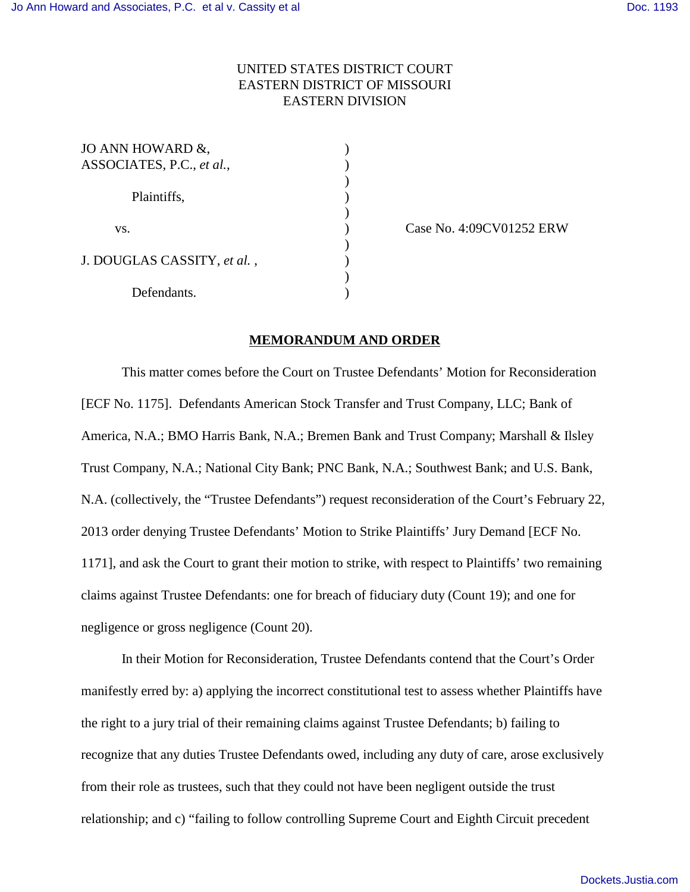## UNITED STATES DISTRICT COURT EASTERN DISTRICT OF MISSOURI EASTERN DIVISION

| JO ANN HOWARD &,            |  |
|-----------------------------|--|
| ASSOCIATES, P.C., et al.,   |  |
|                             |  |
| Plaintiffs,                 |  |
|                             |  |
| VS.                         |  |
|                             |  |
| J. DOUGLAS CASSITY, et al., |  |
|                             |  |
| Defendants.                 |  |

Case No. 4:09CV01252 ERW

## **MEMORANDUM AND ORDER**

This matter comes before the Court on Trustee Defendants' Motion for Reconsideration [ECF No. 1175]. Defendants American Stock Transfer and Trust Company, LLC; Bank of America, N.A.; BMO Harris Bank, N.A.; Bremen Bank and Trust Company; Marshall & Ilsley Trust Company, N.A.; National City Bank; PNC Bank, N.A.; Southwest Bank; and U.S. Bank, N.A. (collectively, the "Trustee Defendants") request reconsideration of the Court's February 22, 2013 order denying Trustee Defendants' Motion to Strike Plaintiffs' Jury Demand [ECF No. 1171], and ask the Court to grant their motion to strike, with respect to Plaintiffs' two remaining claims against Trustee Defendants: one for breach of fiduciary duty (Count 19); and one for negligence or gross negligence (Count 20).

In their Motion for Reconsideration, Trustee Defendants contend that the Court's Order manifestly erred by: a) applying the incorrect constitutional test to assess whether Plaintiffs have the right to a jury trial of their remaining claims against Trustee Defendants; b) failing to recognize that any duties Trustee Defendants owed, including any duty of care, arose exclusively from their role as trustees, such that they could not have been negligent outside the trust relationship; and c) "failing to follow controlling Supreme Court and Eighth Circuit precedent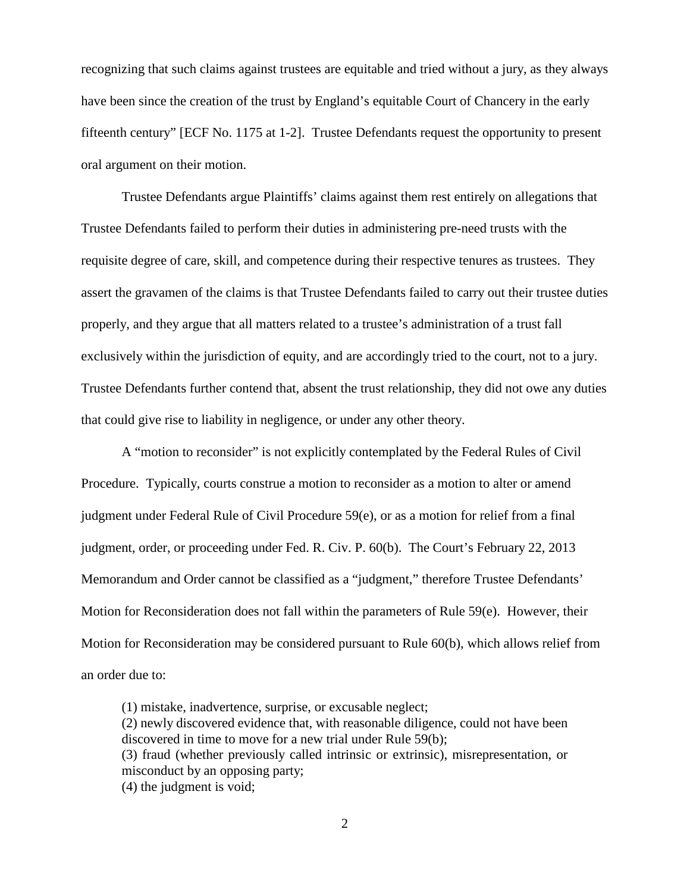recognizing that such claims against trustees are equitable and tried without a jury, as they always have been since the creation of the trust by England's equitable Court of Chancery in the early fifteenth century" [ECF No. 1175 at 1-2]. Trustee Defendants request the opportunity to present oral argument on their motion.

Trustee Defendants argue Plaintiffs' claims against them rest entirely on allegations that Trustee Defendants failed to perform their duties in administering pre-need trusts with the requisite degree of care, skill, and competence during their respective tenures as trustees. They assert the gravamen of the claims is that Trustee Defendants failed to carry out their trustee duties properly, and they argue that all matters related to a trustee's administration of a trust fall exclusively within the jurisdiction of equity, and are accordingly tried to the court, not to a jury. Trustee Defendants further contend that, absent the trust relationship, they did not owe any duties that could give rise to liability in negligence, or under any other theory.

A "motion to reconsider" is not explicitly contemplated by the Federal Rules of Civil Procedure. Typically, courts construe a motion to reconsider as a motion to alter or amend judgment under Federal Rule of Civil Procedure 59(e), or as a motion for relief from a final judgment, order, or proceeding under Fed. R. Civ. P. 60(b). The Court's February 22, 2013 Memorandum and Order cannot be classified as a "judgment," therefore Trustee Defendants' Motion for Reconsideration does not fall within the parameters of Rule 59(e). However, their Motion for Reconsideration may be considered pursuant to Rule 60(b), which allows relief from an order due to:

(1) mistake, inadvertence, surprise, or excusable neglect; (2) newly discovered evidence that, with reasonable diligence, could not have been discovered in time to move for a new trial under Rule 59(b); (3) fraud (whether previously called intrinsic or extrinsic), misrepresentation, or misconduct by an opposing party; (4) the judgment is void;

2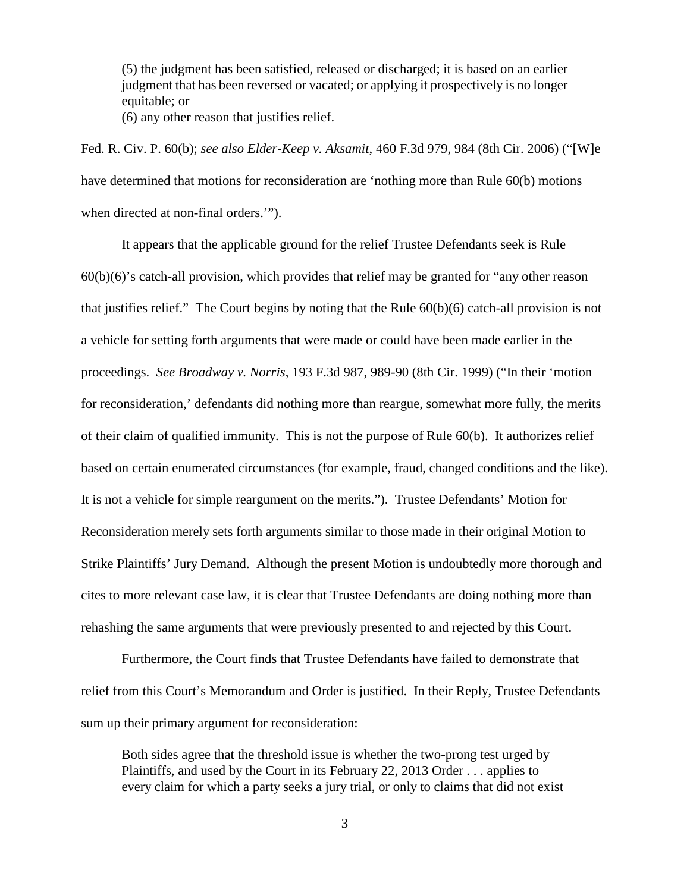(5) the judgment has been satisfied, released or discharged; it is based on an earlier judgment that has been reversed or vacated; or applying it prospectively is no longer equitable; or

(6) any other reason that justifies relief.

Fed. R. Civ. P. 60(b); *see also Elder-Keep v. Aksamit*, 460 F.3d 979, 984 (8th Cir. 2006) ("[W]e have determined that motions for reconsideration are 'nothing more than Rule 60(b) motions when directed at non-final orders.'").

It appears that the applicable ground for the relief Trustee Defendants seek is Rule 60(b)(6)'s catch-all provision, which provides that relief may be granted for "any other reason that justifies relief." The Court begins by noting that the Rule 60(b)(6) catch-all provision is not a vehicle for setting forth arguments that were made or could have been made earlier in the proceedings. *See Broadway v. Norris*, 193 F.3d 987, 989-90 (8th Cir. 1999) ("In their 'motion for reconsideration,' defendants did nothing more than reargue, somewhat more fully, the merits of their claim of qualified immunity. This is not the purpose of Rule 60(b). It authorizes relief based on certain enumerated circumstances (for example, fraud, changed conditions and the like). It is not a vehicle for simple reargument on the merits."). Trustee Defendants' Motion for Reconsideration merely sets forth arguments similar to those made in their original Motion to Strike Plaintiffs' Jury Demand. Although the present Motion is undoubtedly more thorough and cites to more relevant case law, it is clear that Trustee Defendants are doing nothing more than rehashing the same arguments that were previously presented to and rejected by this Court.

Furthermore, the Court finds that Trustee Defendants have failed to demonstrate that relief from this Court's Memorandum and Order is justified. In their Reply, Trustee Defendants sum up their primary argument for reconsideration:

Both sides agree that the threshold issue is whether the two-prong test urged by Plaintiffs, and used by the Court in its February 22, 2013 Order . . . applies to every claim for which a party seeks a jury trial, or only to claims that did not exist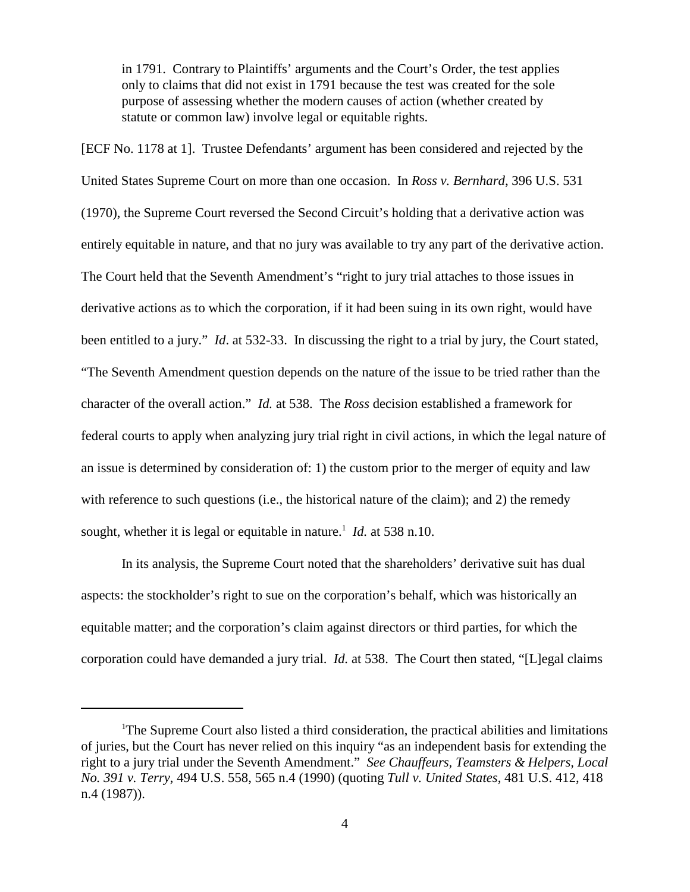in 1791. Contrary to Plaintiffs' arguments and the Court's Order, the test applies only to claims that did not exist in 1791 because the test was created for the sole purpose of assessing whether the modern causes of action (whether created by statute or common law) involve legal or equitable rights.

[ECF No. 1178 at 1]. Trustee Defendants' argument has been considered and rejected by the United States Supreme Court on more than one occasion. In *Ross v. Bernhard*, 396 U.S. 531 (1970), the Supreme Court reversed the Second Circuit's holding that a derivative action was entirely equitable in nature, and that no jury was available to try any part of the derivative action. The Court held that the Seventh Amendment's "right to jury trial attaches to those issues in derivative actions as to which the corporation, if it had been suing in its own right, would have been entitled to a jury." *Id*. at 532-33. In discussing the right to a trial by jury, the Court stated, "The Seventh Amendment question depends on the nature of the issue to be tried rather than the character of the overall action." *Id.* at 538. The *Ross* decision established a framework for federal courts to apply when analyzing jury trial right in civil actions, in which the legal nature of an issue is determined by consideration of: 1) the custom prior to the merger of equity and law with reference to such questions (i.e., the historical nature of the claim); and 2) the remedy sought, whether it is legal or equitable in nature.<sup>1</sup> *Id.* at 538 n.10.

In its analysis, the Supreme Court noted that the shareholders' derivative suit has dual aspects: the stockholder's right to sue on the corporation's behalf, which was historically an equitable matter; and the corporation's claim against directors or third parties, for which the corporation could have demanded a jury trial. *Id.* at 538. The Court then stated, "[L]egal claims

<sup>&</sup>lt;sup>1</sup>The Supreme Court also listed a third consideration, the practical abilities and limitations of juries, but the Court has never relied on this inquiry "as an independent basis for extending the right to a jury trial under the Seventh Amendment." *See Chauffeurs, Teamsters & Helpers, Local No. 391 v. Terry*, 494 U.S. 558, 565 n.4 (1990) (quoting *Tull v. United States*, 481 U.S. 412, 418 n.4 (1987)).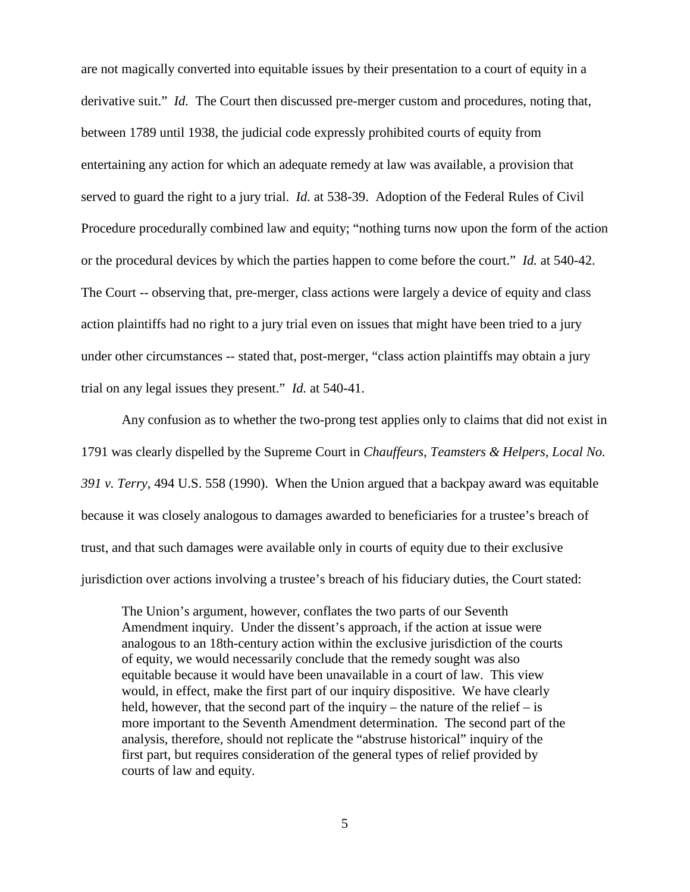are not magically converted into equitable issues by their presentation to a court of equity in a derivative suit." *Id.* The Court then discussed pre-merger custom and procedures, noting that, between 1789 until 1938, the judicial code expressly prohibited courts of equity from entertaining any action for which an adequate remedy at law was available, a provision that served to guard the right to a jury trial. *Id.* at 538-39. Adoption of the Federal Rules of Civil Procedure procedurally combined law and equity; "nothing turns now upon the form of the action or the procedural devices by which the parties happen to come before the court." *Id.* at 540-42. The Court -- observing that, pre-merger, class actions were largely a device of equity and class action plaintiffs had no right to a jury trial even on issues that might have been tried to a jury under other circumstances -- stated that, post-merger, "class action plaintiffs may obtain a jury trial on any legal issues they present." *Id.* at 540-41.

Any confusion as to whether the two-prong test applies only to claims that did not exist in 1791 was clearly dispelled by the Supreme Court in *Chauffeurs, Teamsters & Helpers, Local No. 391 v. Terry*, 494 U.S. 558 (1990). When the Union argued that a backpay award was equitable because it was closely analogous to damages awarded to beneficiaries for a trustee's breach of trust, and that such damages were available only in courts of equity due to their exclusive jurisdiction over actions involving a trustee's breach of his fiduciary duties, the Court stated:

The Union's argument, however, conflates the two parts of our Seventh Amendment inquiry. Under the dissent's approach, if the action at issue were analogous to an 18th-century action within the exclusive jurisdiction of the courts of equity, we would necessarily conclude that the remedy sought was also equitable because it would have been unavailable in a court of law. This view would, in effect, make the first part of our inquiry dispositive. We have clearly held, however, that the second part of the inquiry – the nature of the relief – is more important to the Seventh Amendment determination. The second part of the analysis, therefore, should not replicate the "abstruse historical" inquiry of the first part, but requires consideration of the general types of relief provided by courts of law and equity.